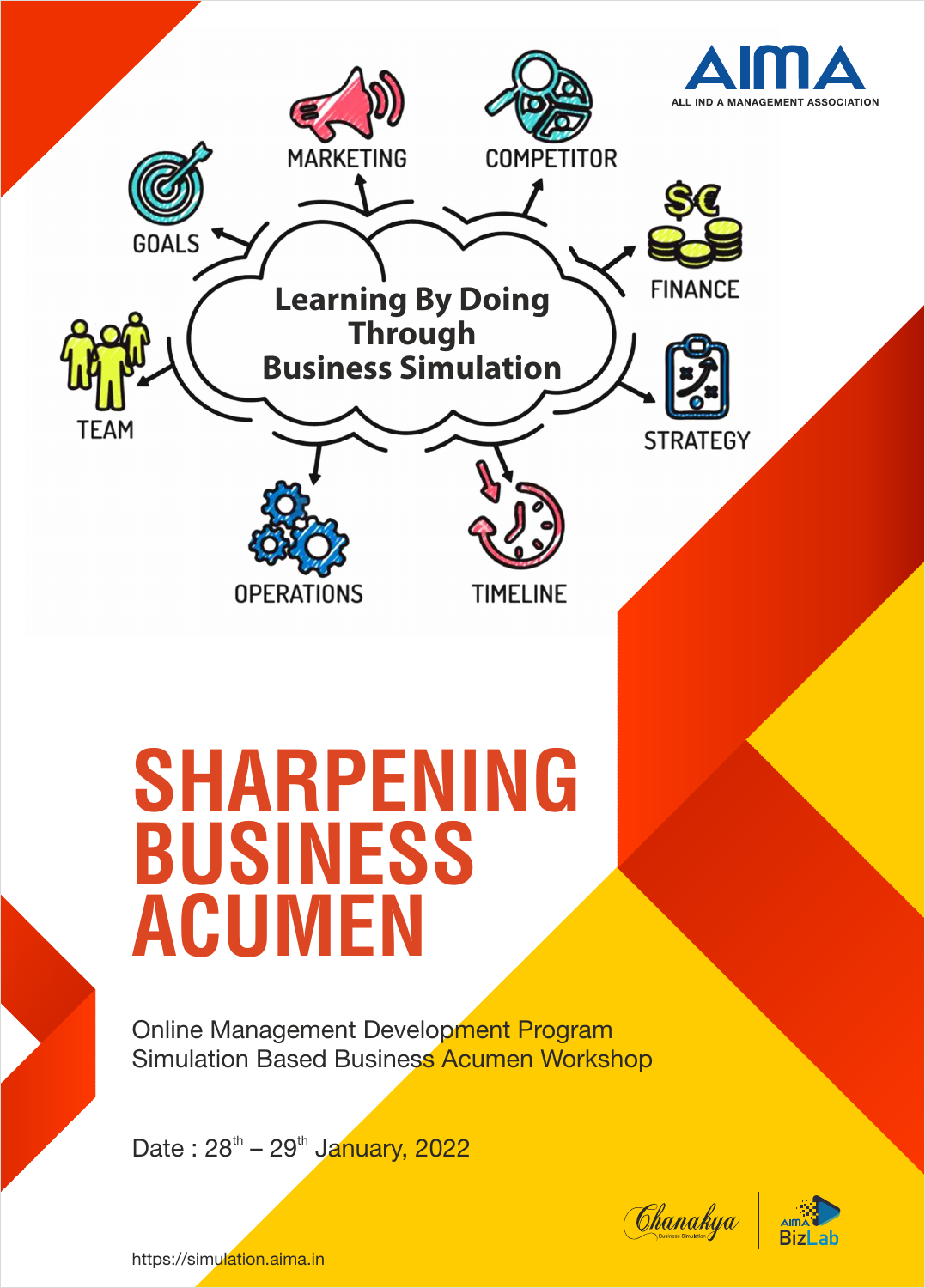

# **SHARPENING BUSINESS ACUMEN**

Online Management Development Program **Simulation Based Business Acumen Workshop** 

Date :  $28^{th} - 29^{th}$  January, 2022





https://simulation.aima.in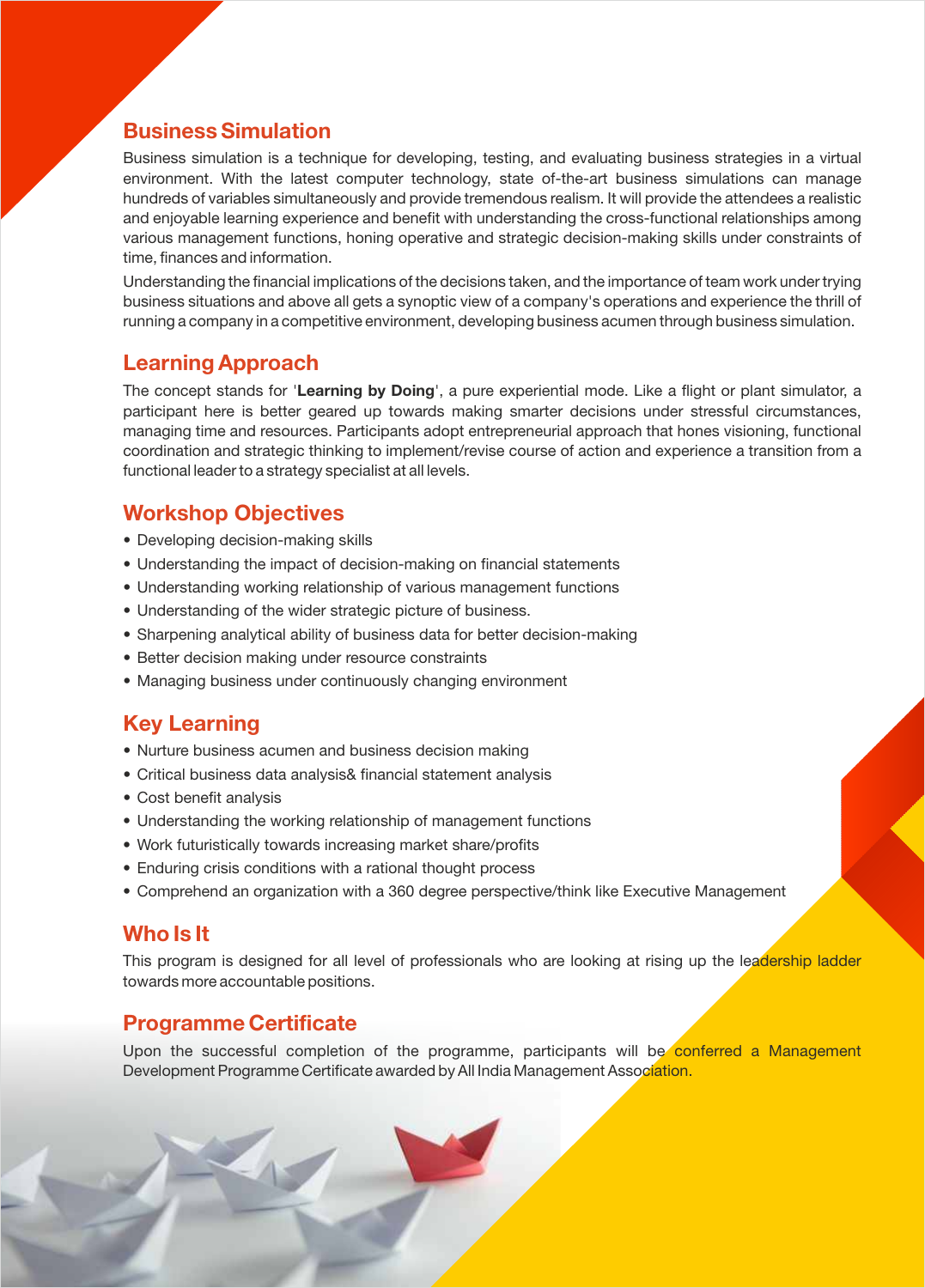## **Business Simulation**

Business simulation is a technique for developing, testing, and evaluating business strategies in a virtual environment. With the latest computer technology, state of-the-art business simulations can manage hundreds of variables simultaneously and provide tremendous realism. It will provide the attendees a realistic and enjoyable learning experience and benefit with understanding the cross-functional relationships among various management functions, honing operative and strategic decision-making skills under constraints of time, finances and information.

Understanding the financial implications of the decisions taken, and the importance of team work under trying business situations and above all gets a synoptic view of a company's operations and experience the thrill of running a company in a competitive environment, developing business acumen through business simulation.

## **Learning Approach**

The concept stands for '**Learning by Doing**', a pure experiential mode. Like a flight or plant simulator, a participant here is better geared up towards making smarter decisions under stressful circumstances, managing time and resources. Participants adopt entrepreneurial approach that hones visioning, functional coordination and strategic thinking to implement/revise course of action and experience a transition from a functional leader to a strategy specialist at all levels.

## **Workshop Objectives**

- Developing decision-making skills
- Understanding the impact of decision-making on financial statements
- Understanding working relationship of various management functions
- Understanding of the wider strategic picture of business.
- Sharpening analytical ability of business data for better decision-making
- Better decision making under resource constraints
- Managing business under continuously changing environment

## **Key Learning**

- Nurture business acumen and business decision making
- Critical business data analysis& financial statement analysis
- Cost benefit analysis
- Understanding the working relationship of management functions
- Work futuristically towards increasing market share/profits
- Enduring crisis conditions with a rational thought process
- Comprehend an organization with a 360 degree perspective/think like Executive Management

## **Who Is It**

This program is designed for all level of professionals who are looking at rising up the leadership ladder towards more accountable positions.

## **Programme Certificate**

Upon the successful completion of the programme, participants will be conferred a Management Development Programme Certificate awarded by All India Management Association.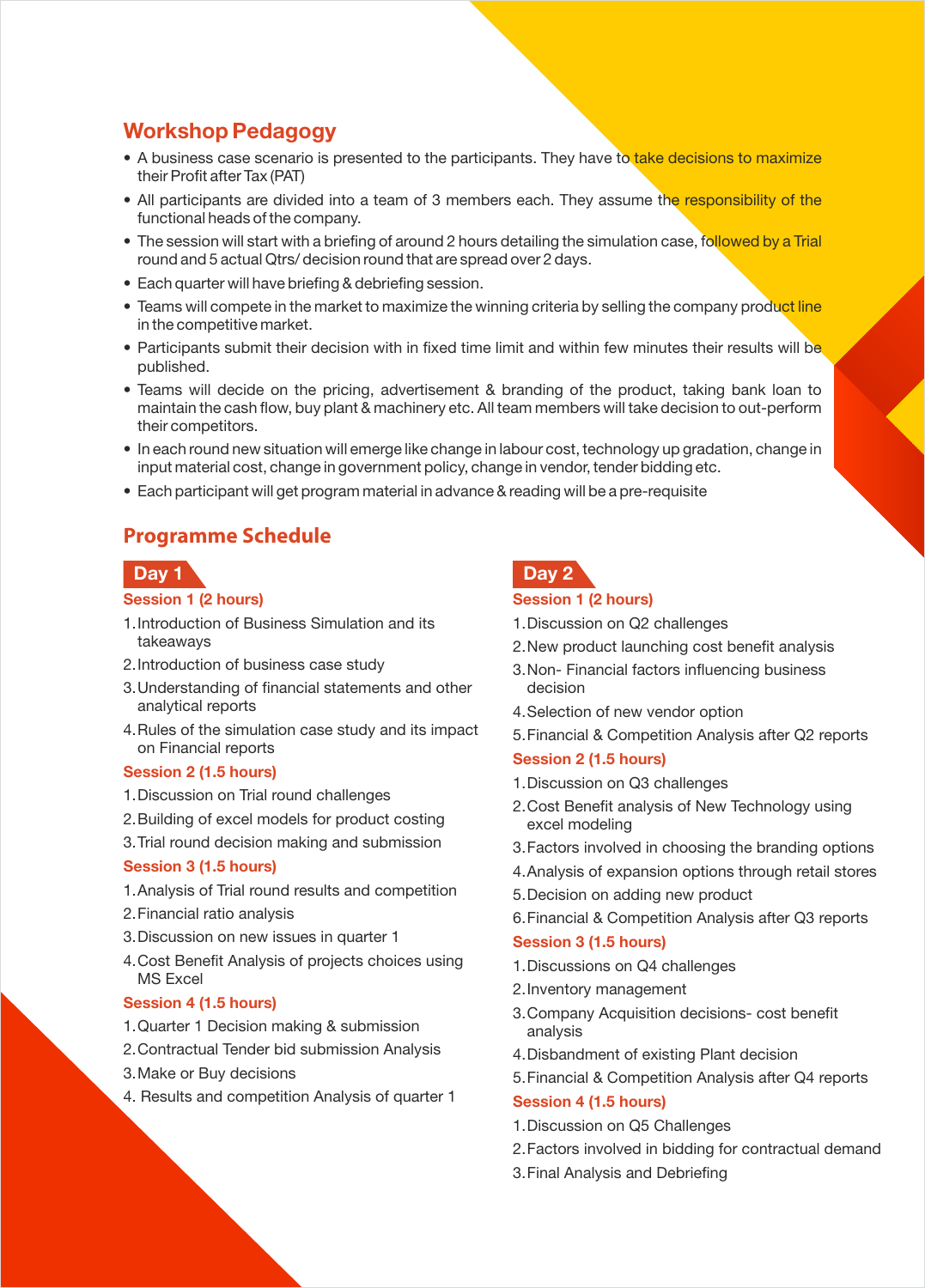## **Workshop Pedagogy**

- A business case scenario is presented to the participants. They have to take decisions to maximize their Profit after Tax (PAT)
- All participants are divided into a team of 3 members each. They assume the responsibility of the functional heads of the company.
- The session will start with a briefing of around 2 hours detailing the simulation case, followed by a Trial round and 5 actual Qtrs/ decision round that are spread over 2 days.
- Each quarter will have briefing & debriefing session.
- Teams will compete in the market to maximize the winning criteria by selling the company product line in the competitive market.
- Participants submit their decision with in fixed time limit and within few minutes their results will be published.
- Teams will decide on the pricing, advertisement & branding of the product, taking bank loan to maintain the cash flow, buy plant & machinery etc. All team members will take decision to out-perform their competitors.
- In each round new situation will emerge like change in labour cost, technology up gradation, change in input material cost, change in government policy, change in vendor, tender bidding etc.
- Each participant will get program material in advance & reading will be a pre-requisite

#### **Programme Schedule**

#### **Day 1**

#### **Session 1 (2 hours)**

- 1. Introduction of Business Simulation and its takeaways
- 2. Introduction of business case study
- 3. Understanding of financial statements and other analytical reports
- 4. Rules of the simulation case study and its impact on Financial reports

#### **Session 2 (1.5 hours)**

- 1. Discussion on Trial round challenges
- 2. Building of excel models for product costing
- 3. Trial round decision making and submission

#### **Session 3 (1.5 hours)**

- 1. Analysis of Trial round results and competition
- 2. Financial ratio analysis
- 3. Discussion on new issues in quarter 1
- 4. Cost Benefit Analysis of projects choices using MS Excel

#### **Session 4 (1.5 hours)**

- 1. Quarter 1 Decision making & submission
- 2. Contractual Tender bid submission Analysis
- 3. Make or Buy decisions
- 4. Results and competition Analysis of quarter 1

## **Day 2**

#### **Session 1 (2 hours)**

- 1. Discussion on Q2 challenges
- 2. New product launching cost benefit analysis
- 3. Non- Financial factors influencing business decision
- 4. Selection of new vendor option
- 5. Financial & Competition Analysis after Q2 reports

#### **Session 2 (1.5 hours)**

- 1. Discussion on Q3 challenges
- 2. Cost Benefit analysis of New Technology using excel modeling
- 3. Factors involved in choosing the branding options
- 4. Analysis of expansion options through retail stores
- 5. Decision on adding new product
- 6. Financial & Competition Analysis after Q3 reports

#### **Session 3 (1.5 hours)**

- 1. Discussions on Q4 challenges
- 2. Inventory management
- 3. Company Acquisition decisions- cost benefit analysis
- 4. Disbandment of existing Plant decision
- 5. Financial & Competition Analysis after Q4 reports

#### **Session 4 (1.5 hours)**

- 1. Discussion on Q5 Challenges
- 2. Factors involved in bidding for contractual demand
- 3. Final Analysis and Debriefing